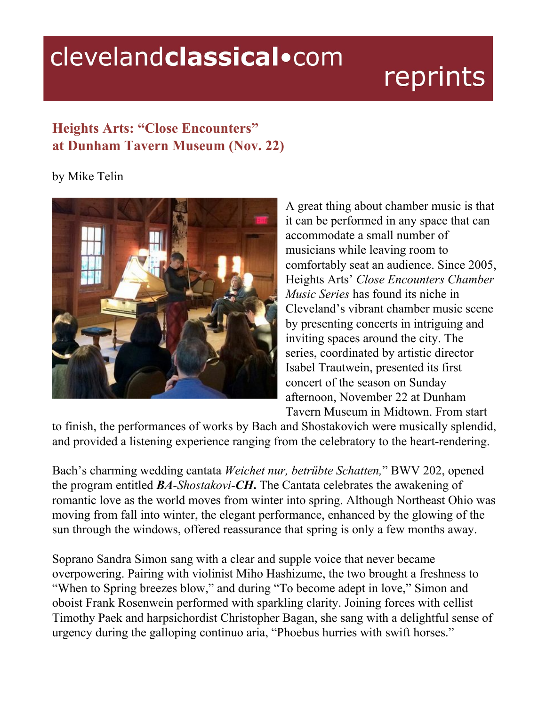## clevelandclassical.com

## reprints

## **Heights Arts: "Close Encounters" at Dunham Tavern Museum (Nov. 22)**

by Mike Telin



A great thing about chamber music is that it can be performed in any space that can accommodate a small number of musicians while leaving room to comfortably seat an audience. Since 2005, Heights Arts' *Close Encounters Chamber Music Series* has found its niche in Cleveland's vibrant chamber music scene by presenting concerts in intriguing and inviting spaces around the city. The series, coordinated by artistic director Isabel Trautwein, presented its first concert of the season on Sunday afternoon, November 22 at Dunham Tavern Museum in Midtown. From start

to finish, the performances of works by Bach and Shostakovich were musically splendid, and provided a listening experience ranging from the celebratory to the heart-rendering.

Bach's charming wedding cantata *Weichet nur, betrübte Schatten,*" BWV 202, opened the program entitled *BAShostakoviCH***.** The Cantata celebrates the awakening of romantic love as the world moves from winter into spring. Although Northeast Ohio was moving from fall into winter, the elegant performance, enhanced by the glowing of the sun through the windows, offered reassurance that spring is only a few months away.

Soprano Sandra Simon sang with a clear and supple voice that never became overpowering. Pairing with violinist Miho Hashizume, the two brought a freshness to "When to Spring breezes blow," and during "To become adept in love," Simon and oboist Frank Rosenwein performed with sparkling clarity. Joining forces with cellist Timothy Paek and harpsichordist Christopher Bagan, she sang with a delightful sense of urgency during the galloping continuo aria, "Phoebus hurries with swift horses."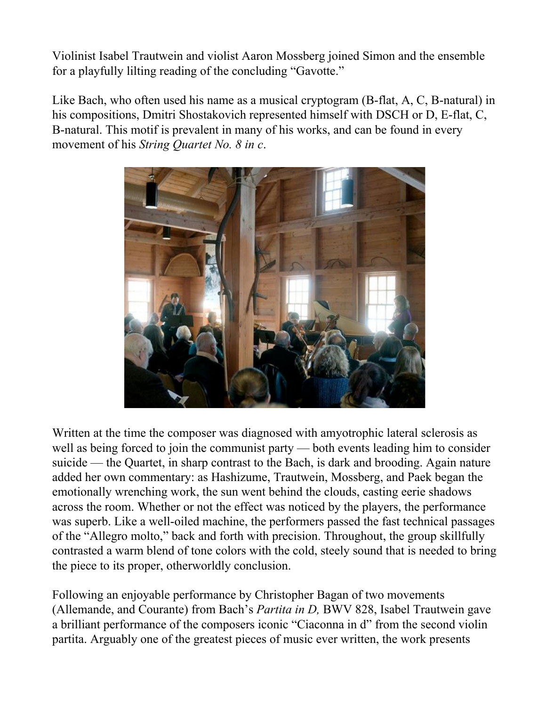Violinist Isabel Trautwein and violist Aaron Mossberg joined Simon and the ensemble for a playfully lilting reading of the concluding "Gavotte."

Like Bach, who often used his name as a musical cryptogram  $(B$ -flat, A, C, B-natural) in his compositions, Dmitri Shostakovich represented himself with DSCH or D, E-flat, C, B-natural. This motif is prevalent in many of his works, and can be found in every movement of his *String Quartet No. 8 in c*.



Written at the time the composer was diagnosed with amyotrophic lateral sclerosis as well as being forced to join the communist party — both events leading him to consider suicide — the Quartet, in sharp contrast to the Bach, is dark and brooding. Again nature added her own commentary: as Hashizume, Trautwein, Mossberg, and Paek began the emotionally wrenching work, the sun went behind the clouds, casting eerie shadows across the room. Whether or not the effect was noticed by the players, the performance was superb. Like a well-oiled machine, the performers passed the fast technical passages of the "Allegro molto," back and forth with precision. Throughout, the group skillfully contrasted a warm blend of tone colors with the cold, steely sound that is needed to bring the piece to its proper, otherworldly conclusion.

Following an enjoyable performance by Christopher Bagan of two movements (Allemande, and Courante) from Bach's *Partita in D,* BWV 828, Isabel Trautwein gave a brilliant performance of the composers iconic "Ciaconna in d" from the second violin partita. Arguably one of the greatest pieces of music ever written, the work presents